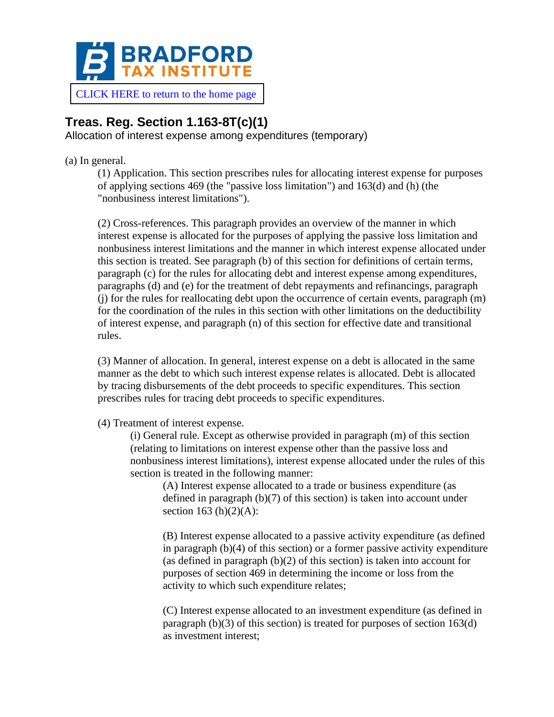

[CLICK HERE to return to the home page](https://www.bradfordtaxinstitute.com)

## **Treas. Reg. Section 1.163-8T(c)(1)**

Allocation of interest expense among expenditures (temporary)

(a) In general.

(1) Application. This section prescribes rules for allocating interest expense for purposes of applying sections 469 (the "passive loss limitation") and 163(d) and (h) (the "nonbusiness interest limitations").

(2) Cross-references. This paragraph provides an overview of the manner in which interest expense is allocated for the purposes of applying the passive loss limitation and nonbusiness interest limitations and the manner in which interest expense allocated under this section is treated. See paragraph (b) of this section for definitions of certain terms, paragraph (c) for the rules for allocating debt and interest expense among expenditures, paragraphs (d) and (e) for the treatment of debt repayments and refinancings, paragraph (j) for the rules for reallocating debt upon the occurrence of certain events, paragraph (m) for the coordination of the rules in this section with other limitations on the deductibility of interest expense, and paragraph (n) of this section for effective date and transitional rules.

(3) Manner of allocation. In general, interest expense on a debt is allocated in the same manner as the debt to which such interest expense relates is allocated. Debt is allocated by tracing disbursements of the debt proceeds to specific expenditures. This section prescribes rules for tracing debt proceeds to specific expenditures.

(4) Treatment of interest expense.

(i) General rule. Except as otherwise provided in paragraph (m) of this section (relating to limitations on interest expense other than the passive loss and nonbusiness interest limitations), interest expense allocated under the rules of this section is treated in the following manner:

(A) Interest expense allocated to a trade or business expenditure (as defined in paragraph (b)(7) of this section) is taken into account under section 163 (h) $(2)(A)$ :

(B) Interest expense allocated to a passive activity expenditure (as defined in paragraph (b)(4) of this section) or a former passive activity expenditure (as defined in paragraph (b)(2) of this section) is taken into account for purposes of section 469 in determining the income or loss from the activity to which such expenditure relates;

(C) Interest expense allocated to an investment expenditure (as defined in paragraph (b)(3) of this section) is treated for purposes of section 163(d) as investment interest;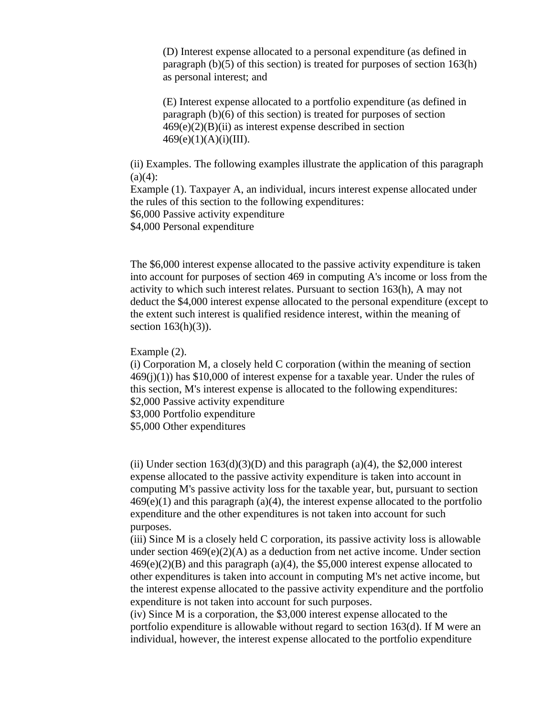(D) Interest expense allocated to a personal expenditure (as defined in paragraph (b)(5) of this section) is treated for purposes of section 163(h) as personal interest; and

(E) Interest expense allocated to a portfolio expenditure (as defined in paragraph (b)(6) of this section) is treated for purposes of section  $469(e)(2)(B)(ii)$  as interest expense described in section  $469(e)(1)(A)(i)(III).$ 

(ii) Examples. The following examples illustrate the application of this paragraph  $(a)(4)$ :

Example (1). Taxpayer A, an individual, incurs interest expense allocated under the rules of this section to the following expenditures: \$6,000 Passive activity expenditure

\$4,000 Personal expenditure

The \$6,000 interest expense allocated to the passive activity expenditure is taken into account for purposes of section 469 in computing A's income or loss from the activity to which such interest relates. Pursuant to section 163(h), A may not deduct the \$4,000 interest expense allocated to the personal expenditure (except to the extent such interest is qualified residence interest, within the meaning of section  $163(h)(3)$ ).

Example (2).

(i) Corporation M, a closely held C corporation (within the meaning of section  $469(i)(1)$ ) has \$10,000 of interest expense for a taxable year. Under the rules of this section, M's interest expense is allocated to the following expenditures: \$2,000 Passive activity expenditure

\$3,000 Portfolio expenditure

\$5,000 Other expenditures

(ii) Under section  $163(d)(3)(D)$  and this paragraph (a)(4), the \$2,000 interest expense allocated to the passive activity expenditure is taken into account in computing M's passive activity loss for the taxable year, but, pursuant to section  $469(e)(1)$  and this paragraph (a)(4), the interest expense allocated to the portfolio expenditure and the other expenditures is not taken into account for such purposes.

(iii) Since M is a closely held C corporation, its passive activity loss is allowable under section  $469(e)(2)(A)$  as a deduction from net active income. Under section  $469(e)(2)(B)$  and this paragraph (a)(4), the \$5,000 interest expense allocated to other expenditures is taken into account in computing M's net active income, but the interest expense allocated to the passive activity expenditure and the portfolio expenditure is not taken into account for such purposes.

(iv) Since M is a corporation, the \$3,000 interest expense allocated to the portfolio expenditure is allowable without regard to section 163(d). If M were an individual, however, the interest expense allocated to the portfolio expenditure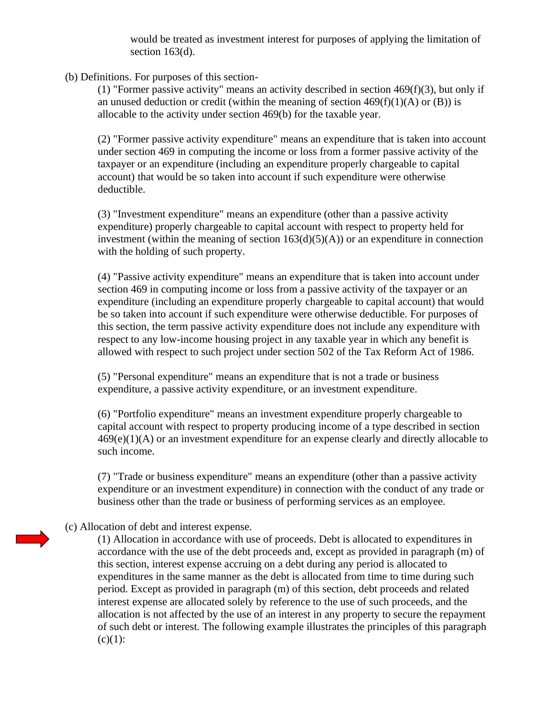would be treated as investment interest for purposes of applying the limitation of section 163(d).

(b) Definitions. For purposes of this section-

(1) "Former passive activity" means an activity described in section 469(f)(3), but only if an unused deduction or credit (within the meaning of section  $469(f)(1)(A)$  or (B)) is allocable to the activity under section 469(b) for the taxable year.

(2) "Former passive activity expenditure" means an expenditure that is taken into account under section 469 in computing the income or loss from a former passive activity of the taxpayer or an expenditure (including an expenditure properly chargeable to capital account) that would be so taken into account if such expenditure were otherwise deductible.

(3) "Investment expenditure" means an expenditure (other than a passive activity expenditure) properly chargeable to capital account with respect to property held for investment (within the meaning of section  $163(d)(5)(A)$ ) or an expenditure in connection with the holding of such property.

(4) "Passive activity expenditure" means an expenditure that is taken into account under section 469 in computing income or loss from a passive activity of the taxpayer or an expenditure (including an expenditure properly chargeable to capital account) that would be so taken into account if such expenditure were otherwise deductible. For purposes of this section, the term passive activity expenditure does not include any expenditure with respect to any low-income housing project in any taxable year in which any benefit is allowed with respect to such project under section 502 of the Tax Reform Act of 1986.

(5) "Personal expenditure" means an expenditure that is not a trade or business expenditure, a passive activity expenditure, or an investment expenditure.

(6) "Portfolio expenditure" means an investment expenditure properly chargeable to capital account with respect to property producing income of a type described in section  $469(e)(1)(A)$  or an investment expenditure for an expense clearly and directly allocable to such income.

(7) "Trade or business expenditure" means an expenditure (other than a passive activity expenditure or an investment expenditure) in connection with the conduct of any trade or business other than the trade or business of performing services as an employee.

(c) Allocation of debt and interest expense.

(1) Allocation in accordance with use of proceeds. Debt is allocated to expenditures in accordance with the use of the debt proceeds and, except as provided in paragraph (m) of this section, interest expense accruing on a debt during any period is allocated to expenditures in the same manner as the debt is allocated from time to time during such period. Except as provided in paragraph (m) of this section, debt proceeds and related interest expense are allocated solely by reference to the use of such proceeds, and the allocation is not affected by the use of an interest in any property to secure the repayment of such debt or interest. The following example illustrates the principles of this paragraph  $(c)(1)$ :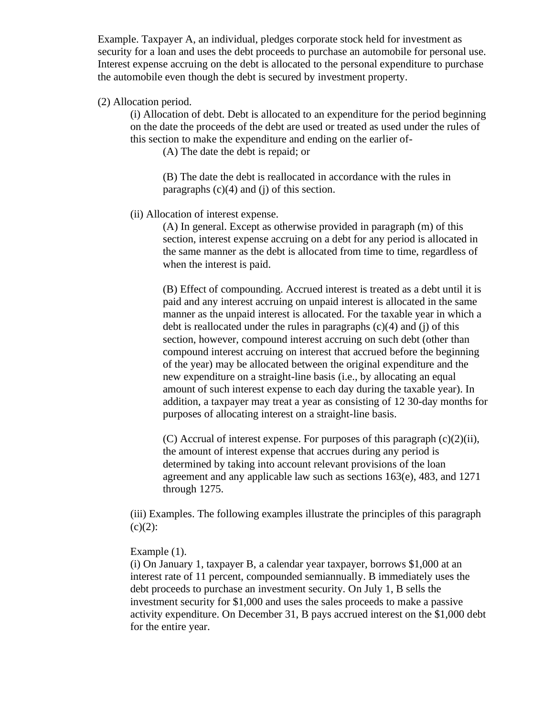Example. Taxpayer A, an individual, pledges corporate stock held for investment as security for a loan and uses the debt proceeds to purchase an automobile for personal use. Interest expense accruing on the debt is allocated to the personal expenditure to purchase the automobile even though the debt is secured by investment property.

## (2) Allocation period.

(i) Allocation of debt. Debt is allocated to an expenditure for the period beginning on the date the proceeds of the debt are used or treated as used under the rules of this section to make the expenditure and ending on the earlier of-

(A) The date the debt is repaid; or

(B) The date the debt is reallocated in accordance with the rules in paragraphs (c)(4) and (j) of this section.

## (ii) Allocation of interest expense.

(A) In general. Except as otherwise provided in paragraph (m) of this section, interest expense accruing on a debt for any period is allocated in the same manner as the debt is allocated from time to time, regardless of when the interest is paid.

(B) Effect of compounding. Accrued interest is treated as a debt until it is paid and any interest accruing on unpaid interest is allocated in the same manner as the unpaid interest is allocated. For the taxable year in which a debt is reallocated under the rules in paragraphs  $(c)(4)$  and  $(i)$  of this section, however, compound interest accruing on such debt (other than compound interest accruing on interest that accrued before the beginning of the year) may be allocated between the original expenditure and the new expenditure on a straight-line basis (i.e., by allocating an equal amount of such interest expense to each day during the taxable year). In addition, a taxpayer may treat a year as consisting of 12 30-day months for purposes of allocating interest on a straight-line basis.

(C) Accrual of interest expense. For purposes of this paragraph (c)(2)(ii), the amount of interest expense that accrues during any period is determined by taking into account relevant provisions of the loan agreement and any applicable law such as sections 163(e), 483, and 1271 through 1275.

(iii) Examples. The following examples illustrate the principles of this paragraph  $(c)(2)$ :

## Example (1).

(i) On January 1, taxpayer B, a calendar year taxpayer, borrows \$1,000 at an interest rate of 11 percent, compounded semiannually. B immediately uses the debt proceeds to purchase an investment security. On July 1, B sells the investment security for \$1,000 and uses the sales proceeds to make a passive activity expenditure. On December 31, B pays accrued interest on the \$1,000 debt for the entire year.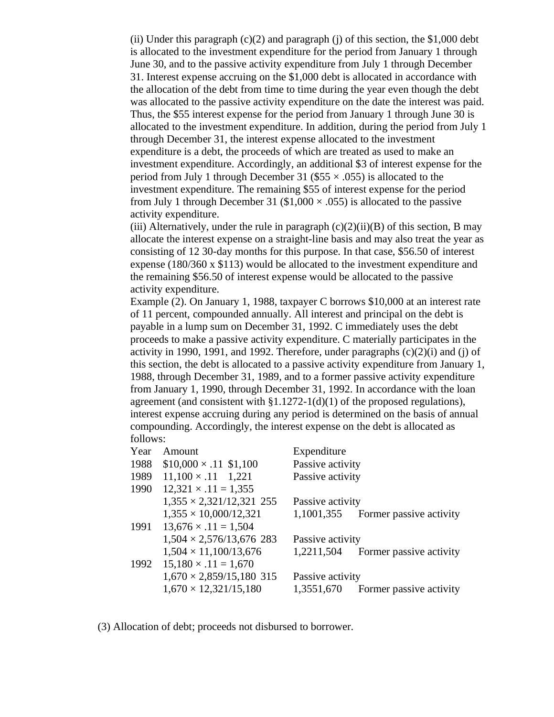(ii) Under this paragraph  $(c)(2)$  and paragraph (j) of this section, the \$1,000 debt is allocated to the investment expenditure for the period from January 1 through June 30, and to the passive activity expenditure from July 1 through December 31. Interest expense accruing on the \$1,000 debt is allocated in accordance with the allocation of the debt from time to time during the year even though the debt was allocated to the passive activity expenditure on the date the interest was paid. Thus, the \$55 interest expense for the period from January 1 through June 30 is allocated to the investment expenditure. In addition, during the period from July 1 through December 31, the interest expense allocated to the investment expenditure is a debt, the proceeds of which are treated as used to make an investment expenditure. Accordingly, an additional \$3 of interest expense for the period from July 1 through December 31 (\$55  $\times$  .055) is allocated to the investment expenditure. The remaining \$55 of interest expense for the period from July 1 through December 31 ( $$1,000 \times .055$ ) is allocated to the passive activity expenditure.

(iii) Alternatively, under the rule in paragraph  $(c)(2)(ii)(B)$  of this section, B may allocate the interest expense on a straight-line basis and may also treat the year as consisting of 12 30-day months for this purpose. In that case, \$56.50 of interest expense (180/360 x \$113) would be allocated to the investment expenditure and the remaining \$56.50 of interest expense would be allocated to the passive activity expenditure.

Example (2). On January 1, 1988, taxpayer C borrows \$10,000 at an interest rate of 11 percent, compounded annually. All interest and principal on the debt is payable in a lump sum on December 31, 1992. C immediately uses the debt proceeds to make a passive activity expenditure. C materially participates in the activity in 1990, 1991, and 1992. Therefore, under paragraphs  $(c)(2)(i)$  and  $(i)$  of this section, the debt is allocated to a passive activity expenditure from January 1, 1988, through December 31, 1989, and to a former passive activity expenditure from January 1, 1990, through December 31, 1992. In accordance with the loan agreement (and consistent with  $\S1.1272-1(d)(1)$  of the proposed regulations), interest expense accruing during any period is determined on the basis of annual compounding. Accordingly, the interest expense on the debt is allocated as follows:

| Year | Amount                          | Expenditure      |                         |
|------|---------------------------------|------------------|-------------------------|
| 1988 | $$10,000 \times .11$ \$1,100    | Passive activity |                         |
| 1989 | $11,100 \times .11$ 1,221       | Passive activity |                         |
| 1990 | $12,321 \times .11 = 1,355$     |                  |                         |
|      | $1,355 \times 2,321/12,321$ 255 | Passive activity |                         |
|      | $1,355 \times 10,000/12,321$    | 1,1001,355       | Former passive activity |
| 1991 | $13,676 \times .11 = 1,504$     |                  |                         |
|      | $1,504 \times 2,576/13,676$ 283 | Passive activity |                         |
|      | $1,504 \times 11,100/13,676$    | 1,2211,504       | Former passive activity |
| 1992 | $15,180 \times .11 = 1,670$     |                  |                         |
|      | $1,670 \times 2,859/15,180$ 315 | Passive activity |                         |
|      | $1,670 \times 12,321/15,180$    | 1,3551,670       | Former passive activity |

(3) Allocation of debt; proceeds not disbursed to borrower.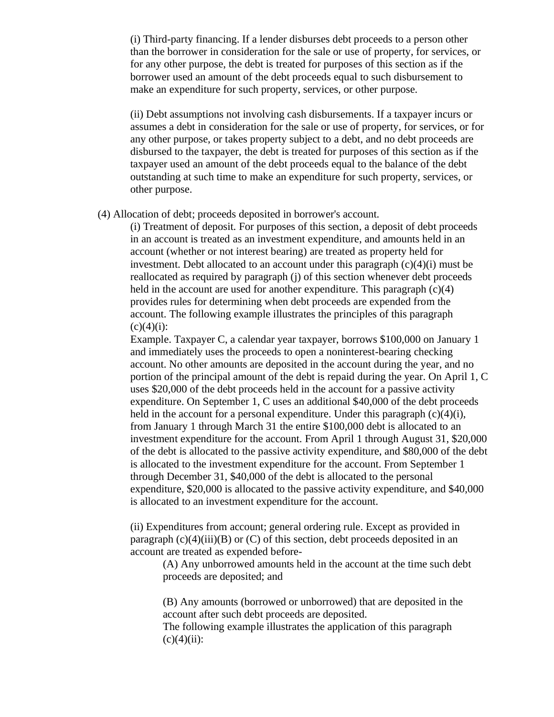(i) Third-party financing. If a lender disburses debt proceeds to a person other than the borrower in consideration for the sale or use of property, for services, or for any other purpose, the debt is treated for purposes of this section as if the borrower used an amount of the debt proceeds equal to such disbursement to make an expenditure for such property, services, or other purpose.

(ii) Debt assumptions not involving cash disbursements. If a taxpayer incurs or assumes a debt in consideration for the sale or use of property, for services, or for any other purpose, or takes property subject to a debt, and no debt proceeds are disbursed to the taxpayer, the debt is treated for purposes of this section as if the taxpayer used an amount of the debt proceeds equal to the balance of the debt outstanding at such time to make an expenditure for such property, services, or other purpose.

(4) Allocation of debt; proceeds deposited in borrower's account.

(i) Treatment of deposit. For purposes of this section, a deposit of debt proceeds in an account is treated as an investment expenditure, and amounts held in an account (whether or not interest bearing) are treated as property held for investment. Debt allocated to an account under this paragraph (c)(4)(i) must be reallocated as required by paragraph (j) of this section whenever debt proceeds held in the account are used for another expenditure. This paragraph (c)(4) provides rules for determining when debt proceeds are expended from the account. The following example illustrates the principles of this paragraph  $(c)(4)(i)$ :

Example. Taxpayer C, a calendar year taxpayer, borrows \$100,000 on January 1 and immediately uses the proceeds to open a noninterest-bearing checking account. No other amounts are deposited in the account during the year, and no portion of the principal amount of the debt is repaid during the year. On April 1, C uses \$20,000 of the debt proceeds held in the account for a passive activity expenditure. On September 1, C uses an additional \$40,000 of the debt proceeds held in the account for a personal expenditure. Under this paragraph  $(c)(4)(i)$ , from January 1 through March 31 the entire \$100,000 debt is allocated to an investment expenditure for the account. From April 1 through August 31, \$20,000 of the debt is allocated to the passive activity expenditure, and \$80,000 of the debt is allocated to the investment expenditure for the account. From September 1 through December 31, \$40,000 of the debt is allocated to the personal expenditure, \$20,000 is allocated to the passive activity expenditure, and \$40,000 is allocated to an investment expenditure for the account.

(ii) Expenditures from account; general ordering rule. Except as provided in paragraph  $(c)(4)(iii)(B)$  or  $(C)$  of this section, debt proceeds deposited in an account are treated as expended before-

(A) Any unborrowed amounts held in the account at the time such debt proceeds are deposited; and

(B) Any amounts (borrowed or unborrowed) that are deposited in the account after such debt proceeds are deposited.

The following example illustrates the application of this paragraph  $(c)(4)(ii)$ :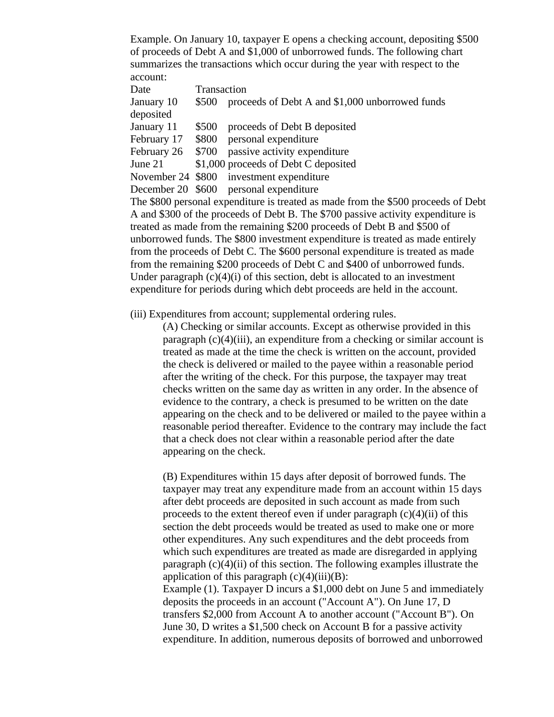Example. On January 10, taxpayer E opens a checking account, depositing \$500 of proceeds of Debt A and \$1,000 of unborrowed funds. The following chart summarizes the transactions which occur during the year with respect to the account:

| Date                                                                              | Transaction |                                                       |  |  |  |
|-----------------------------------------------------------------------------------|-------------|-------------------------------------------------------|--|--|--|
| January 10                                                                        |             | \$500 proceeds of Debt A and \$1,000 unborrowed funds |  |  |  |
| deposited                                                                         |             |                                                       |  |  |  |
| January 11                                                                        |             | \$500 proceeds of Debt B deposited                    |  |  |  |
| February 17                                                                       |             | \$800 personal expenditure                            |  |  |  |
| February 26                                                                       |             | \$700 passive activity expenditure                    |  |  |  |
| June 21                                                                           |             | \$1,000 proceeds of Debt C deposited                  |  |  |  |
|                                                                                   |             | November 24 \$800 investment expenditure              |  |  |  |
|                                                                                   |             | December 20 \$600 personal expenditure                |  |  |  |
| The \$800 personal expenditure is treated as made from the \$500 proceeds of Debt |             |                                                       |  |  |  |
| A and \$300 of the proceeds of Debt B. The \$700 passive activity expenditure is  |             |                                                       |  |  |  |
| treated as made from the remaining \$200 proceeds of Debt B and \$500 of          |             |                                                       |  |  |  |

treated as made from the remaining \$200 proceeds of Debt B and \$500 of unborrowed funds. The \$800 investment expenditure is treated as made entirely from the proceeds of Debt C. The \$600 personal expenditure is treated as made from the remaining \$200 proceeds of Debt C and \$400 of unborrowed funds. Under paragraph  $(c)(4)(i)$  of this section, debt is allocated to an investment expenditure for periods during which debt proceeds are held in the account.

(iii) Expenditures from account; supplemental ordering rules.

(A) Checking or similar accounts. Except as otherwise provided in this paragraph  $(c)(4)(iii)$ , an expenditure from a checking or similar account is treated as made at the time the check is written on the account, provided the check is delivered or mailed to the payee within a reasonable period after the writing of the check. For this purpose, the taxpayer may treat checks written on the same day as written in any order. In the absence of evidence to the contrary, a check is presumed to be written on the date appearing on the check and to be delivered or mailed to the payee within a reasonable period thereafter. Evidence to the contrary may include the fact that a check does not clear within a reasonable period after the date appearing on the check.

(B) Expenditures within 15 days after deposit of borrowed funds. The taxpayer may treat any expenditure made from an account within 15 days after debt proceeds are deposited in such account as made from such proceeds to the extent thereof even if under paragraph  $(c)(4)(ii)$  of this section the debt proceeds would be treated as used to make one or more other expenditures. Any such expenditures and the debt proceeds from which such expenditures are treated as made are disregarded in applying paragraph  $(c)(4)(ii)$  of this section. The following examples illustrate the application of this paragraph  $(c)(4)(iii)(B)$ :

Example (1). Taxpayer D incurs a \$1,000 debt on June 5 and immediately deposits the proceeds in an account ("Account A"). On June 17, D transfers \$2,000 from Account A to another account ("Account B"). On June 30, D writes a \$1,500 check on Account B for a passive activity expenditure. In addition, numerous deposits of borrowed and unborrowed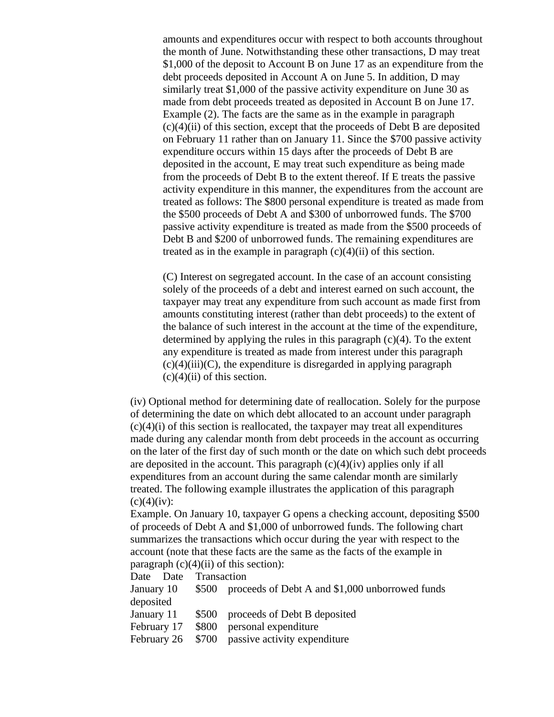amounts and expenditures occur with respect to both accounts throughout the month of June. Notwithstanding these other transactions, D may treat \$1,000 of the deposit to Account B on June 17 as an expenditure from the debt proceeds deposited in Account A on June 5. In addition, D may similarly treat \$1,000 of the passive activity expenditure on June 30 as made from debt proceeds treated as deposited in Account B on June 17. Example (2). The facts are the same as in the example in paragraph  $(c)(4)(ii)$  of this section, except that the proceeds of Debt B are deposited on February 11 rather than on January 11. Since the \$700 passive activity expenditure occurs within 15 days after the proceeds of Debt B are deposited in the account, E may treat such expenditure as being made from the proceeds of Debt B to the extent thereof. If E treats the passive activity expenditure in this manner, the expenditures from the account are treated as follows: The \$800 personal expenditure is treated as made from the \$500 proceeds of Debt A and \$300 of unborrowed funds. The \$700 passive activity expenditure is treated as made from the \$500 proceeds of Debt B and \$200 of unborrowed funds. The remaining expenditures are treated as in the example in paragraph  $(c)(4)(ii)$  of this section.

(C) Interest on segregated account. In the case of an account consisting solely of the proceeds of a debt and interest earned on such account, the taxpayer may treat any expenditure from such account as made first from amounts constituting interest (rather than debt proceeds) to the extent of the balance of such interest in the account at the time of the expenditure, determined by applying the rules in this paragraph  $(c)(4)$ . To the extent any expenditure is treated as made from interest under this paragraph  $(c)(4)(iii)(C)$ , the expenditure is disregarded in applying paragraph  $(c)(4)(ii)$  of this section.

(iv) Optional method for determining date of reallocation. Solely for the purpose of determining the date on which debt allocated to an account under paragraph  $(c)(4)(i)$  of this section is reallocated, the taxpayer may treat all expenditures made during any calendar month from debt proceeds in the account as occurring on the later of the first day of such month or the date on which such debt proceeds are deposited in the account. This paragraph  $(c)(4)(iv)$  applies only if all expenditures from an account during the same calendar month are similarly treated. The following example illustrates the application of this paragraph  $(c)(4)(iv):$ 

Example. On January 10, taxpayer G opens a checking account, depositing \$500 of proceeds of Debt A and \$1,000 of unborrowed funds. The following chart summarizes the transactions which occur during the year with respect to the account (note that these facts are the same as the facts of the example in paragraph  $(c)(4)(ii)$  of this section):

Date Date Transaction

| January 10 | \$500 proceeds of Debt A and \$1,000 unborrowed funds |
|------------|-------------------------------------------------------|
| deposited  |                                                       |
|            |                                                       |

January 11 \$500 proceeds of Debt B deposited

February 17 \$800 personal expenditure

February 26 \$700 passive activity expenditure